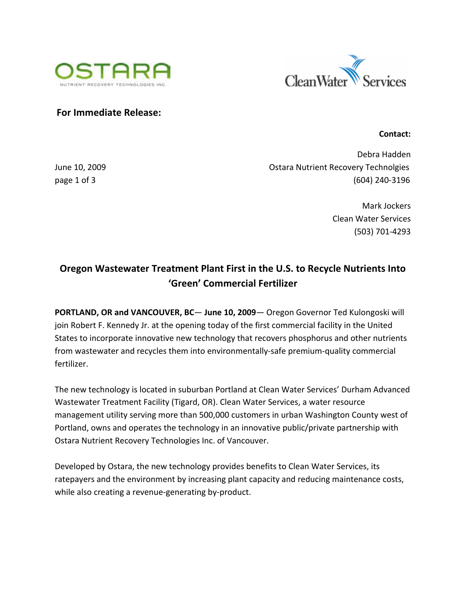



## **For Immediate Release:**

## **Contact:**

Debra Hadden June 10, 2009 Ostara Nutrient Recovery Technolgies page 1 of 3 (604) 240‐3196

> Mark Jockers Clean Water Services (503) 701‐4293

# **Oregon Wastewater Treatment Plant First in the U.S. to Recycle Nutrients Into 'Green' Commercial Fertilizer**

**PORTLAND, OR and VANCOUVER, BC**— **June 10, 2009**— Oregon Governor Ted Kulongoski will join Robert F. Kennedy Jr. at the opening today of the first commercial facility in the United States to incorporate innovative new technology that recovers phosphorus and other nutrients from wastewater and recycles them into environmentally‐safe premium‐quality commercial fertilizer.

The new technology is located in suburban Portland at Clean Water Services' Durham Advanced Wastewater Treatment Facility (Tigard, OR). Clean Water Services, a water resource management utility serving more than 500,000 customers in urban Washington County west of Portland, owns and operates the technology in an innovative public/private partnership with Ostara Nutrient Recovery Technologies Inc. of Vancouver.

Developed by Ostara, the new technology provides benefits to Clean Water Services, its ratepayers and the environment by increasing plant capacity and reducing maintenance costs, while also creating a revenue‐generating by‐product.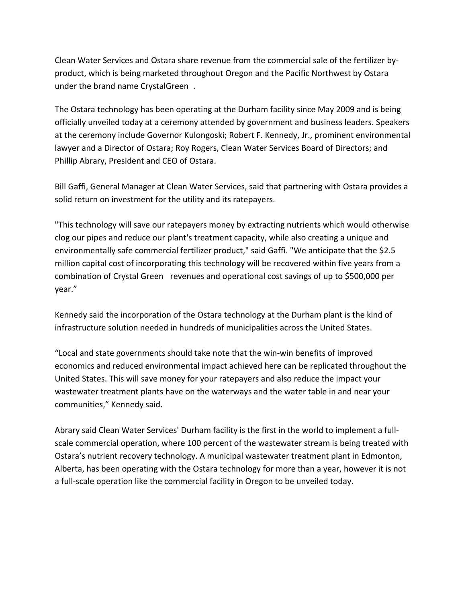Clean Water Services and Ostara share revenue from the commercial sale of the fertilizer by‐ product, which is being marketed throughout Oregon and the Pacific Northwest by Ostara under the brand name CrystalGreen.

The Ostara technology has been operating at the Durham facility since May 2009 and is being officially unveiled today at a ceremony attended by government and business leaders. Speakers at the ceremony include Governor Kulongoski; Robert F. Kennedy, Jr., prominent environmental lawyer and a Director of Ostara; Roy Rogers, Clean Water Services Board of Directors; and Phillip Abrary, President and CEO of Ostara.

Bill Gaffi, General Manager at Clean Water Services, said that partnering with Ostara provides a solid return on investment for the utility and its ratepayers.

"This technology will save our ratepayers money by extracting nutrients which would otherwise clog our pipes and reduce our plant's treatment capacity, while also creating a unique and environmentally safe commercial fertilizer product," said Gaffi. "We anticipate that the \$2.5 million capital cost of incorporating this technology will be recovered within five years from a combination of Crystal Green revenues and operational cost savings of up to \$500,000 per year."

Kennedy said the incorporation of the Ostara technology at the Durham plant is the kind of infrastructure solution needed in hundreds of municipalities across the United States.

"Local and state governments should take note that the win‐win benefits of improved economics and reduced environmental impact achieved here can be replicated throughout the United States. This will save money for your ratepayers and also reduce the impact your wastewater treatment plants have on the waterways and the water table in and near your communities," Kennedy said.

Abrary said Clean Water Services' Durham facility is the first in the world to implement a full‐ scale commercial operation, where 100 percent of the wastewater stream is being treated with Ostara's nutrient recovery technology. A municipal wastewater treatment plant in Edmonton, Alberta, has been operating with the Ostara technology for more than a year, however it is not a full‐scale operation like the commercial facility in Oregon to be unveiled today.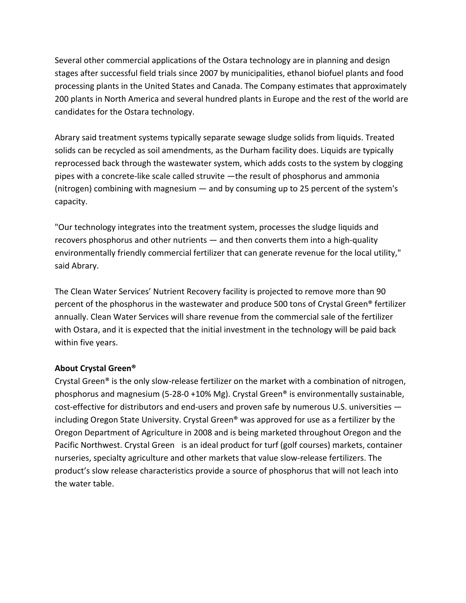Several other commercial applications of the Ostara technology are in planning and design stages after successful field trials since 2007 by municipalities, ethanol biofuel plants and food processing plants in the United States and Canada. The Company estimates that approximately 200 plants in North America and several hundred plants in Europe and the rest of the world are candidates for the Ostara technology.

Abrary said treatment systems typically separate sewage sludge solids from liquids. Treated solids can be recycled as soil amendments, as the Durham facility does. Liquids are typically reprocessed back through the wastewater system, which adds costs to the system by clogging pipes with a concrete‐like scale called struvite —the result of phosphorus and ammonia (nitrogen) combining with magnesium  $-$  and by consuming up to 25 percent of the system's capacity.

"Our technology integrates into the treatment system, processes the sludge liquids and recovers phosphorus and other nutrients — and then converts them into a high‐quality environmentally friendly commercial fertilizer that can generate revenue for the local utility," said Abrary.

The Clean Water Services' Nutrient Recovery facility is projected to remove more than 90 percent of the phosphorus in the wastewater and produce 500 tons of Crystal Green® fertilizer annually. Clean Water Services will share revenue from the commercial sale of the fertilizer with Ostara, and it is expected that the initial investment in the technology will be paid back within five years.

## **About Crystal Green®**

Crystal Green® is the only slow‐release fertilizer on the market with a combination of nitrogen, phosphorus and magnesium (5‐28‐0 +10% Mg). Crystal Green® is environmentally sustainable, cost-effective for distributors and end-users and proven safe by numerous U.S. universities including Oregon State University. Crystal Green® was approved for use as a fertilizer by the Oregon Department of Agriculture in 2008 and is being marketed throughout Oregon and the Pacific Northwest. Crystal Green is an ideal product for turf (golf courses) markets, container nurseries, specialty agriculture and other markets that value slow‐release fertilizers. The product's slow release characteristics provide a source of phosphorus that will not leach into the water table.